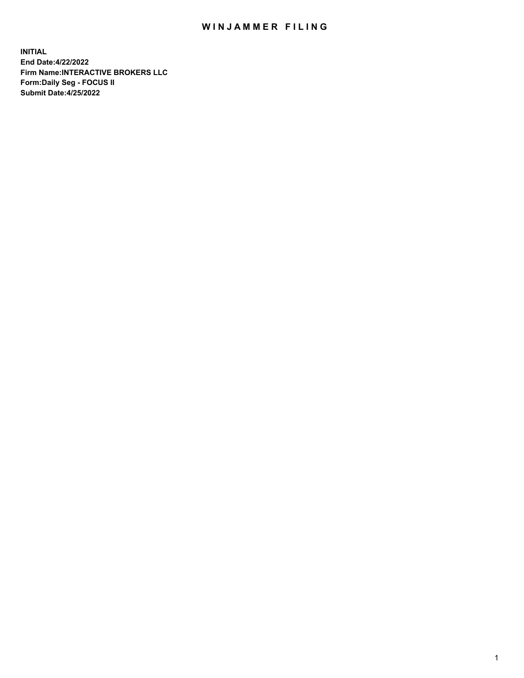## WIN JAMMER FILING

**INITIAL End Date:4/22/2022 Firm Name:INTERACTIVE BROKERS LLC Form:Daily Seg - FOCUS II Submit Date:4/25/2022**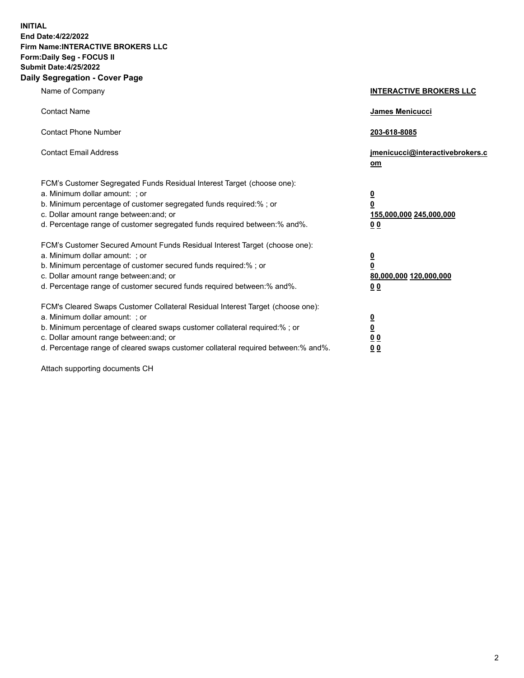**INITIAL End Date:4/22/2022 Firm Name:INTERACTIVE BROKERS LLC Form:Daily Seg - FOCUS II Submit Date:4/25/2022 Daily Segregation - Cover Page**

| Name of Company                                                                                                                                                                                                                                                                                                               | <b>INTERACTIVE BROKERS LLC</b>                                                                  |
|-------------------------------------------------------------------------------------------------------------------------------------------------------------------------------------------------------------------------------------------------------------------------------------------------------------------------------|-------------------------------------------------------------------------------------------------|
| <b>Contact Name</b>                                                                                                                                                                                                                                                                                                           | James Menicucci                                                                                 |
| <b>Contact Phone Number</b>                                                                                                                                                                                                                                                                                                   | 203-618-8085                                                                                    |
| <b>Contact Email Address</b>                                                                                                                                                                                                                                                                                                  | jmenicucci@interactivebrokers.c<br><u>om</u>                                                    |
| FCM's Customer Segregated Funds Residual Interest Target (choose one):<br>a. Minimum dollar amount: ; or<br>b. Minimum percentage of customer segregated funds required:% ; or<br>c. Dollar amount range between: and; or<br>d. Percentage range of customer segregated funds required between:% and%.                        | $\overline{\mathbf{0}}$<br>$\overline{\mathbf{0}}$<br>155,000,000 245,000,000<br>0 <sub>0</sub> |
| FCM's Customer Secured Amount Funds Residual Interest Target (choose one):<br>a. Minimum dollar amount: ; or<br>b. Minimum percentage of customer secured funds required:%; or<br>c. Dollar amount range between: and; or<br>d. Percentage range of customer secured funds required between:% and%.                           | $\overline{\mathbf{0}}$<br>$\overline{\mathbf{0}}$<br>80,000,000 120,000,000<br>0 <sub>0</sub>  |
| FCM's Cleared Swaps Customer Collateral Residual Interest Target (choose one):<br>a. Minimum dollar amount: ; or<br>b. Minimum percentage of cleared swaps customer collateral required:%; or<br>c. Dollar amount range between: and; or<br>d. Percentage range of cleared swaps customer collateral required between:% and%. | $\overline{\mathbf{0}}$<br>$\overline{\mathbf{0}}$<br>0 <sub>0</sub><br>0 <sub>0</sub>          |

Attach supporting documents CH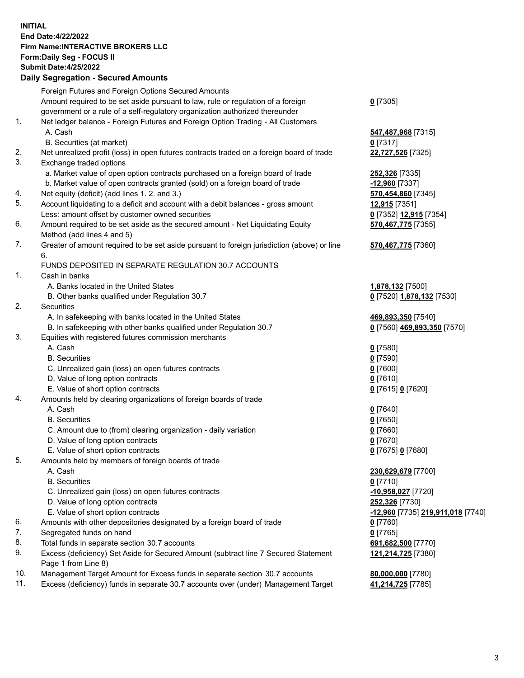**INITIAL End Date:4/22/2022 Firm Name:INTERACTIVE BROKERS LLC Form:Daily Seg - FOCUS II Submit Date:4/25/2022 Daily Segregation - Secured Amounts**

|     | Foreign Futures and Foreign Options Secured Amounts                                         |                                          |
|-----|---------------------------------------------------------------------------------------------|------------------------------------------|
|     | Amount required to be set aside pursuant to law, rule or regulation of a foreign            | $0$ [7305]                               |
|     | government or a rule of a self-regulatory organization authorized thereunder                |                                          |
| 1.  | Net ledger balance - Foreign Futures and Foreign Option Trading - All Customers             |                                          |
|     | A. Cash                                                                                     | 547,487,968 [7315]                       |
|     | B. Securities (at market)                                                                   | $0$ [7317]                               |
| 2.  | Net unrealized profit (loss) in open futures contracts traded on a foreign board of trade   | 22,727,526 [7325]                        |
| 3.  | Exchange traded options                                                                     |                                          |
|     | a. Market value of open option contracts purchased on a foreign board of trade              | 252,326 [7335]                           |
|     | b. Market value of open contracts granted (sold) on a foreign board of trade                | -12,960 [7337]                           |
| 4.  | Net equity (deficit) (add lines 1. 2. and 3.)                                               | 570,454,860 [7345]                       |
| 5.  | Account liquidating to a deficit and account with a debit balances - gross amount           | 12,915 [7351]                            |
|     | Less: amount offset by customer owned securities                                            | 0 [7352] 12,915 [7354]                   |
| 6.  | Amount required to be set aside as the secured amount - Net Liquidating Equity              | 570,467,775 [7355]                       |
|     | Method (add lines 4 and 5)                                                                  |                                          |
| 7.  | Greater of amount required to be set aside pursuant to foreign jurisdiction (above) or line | 570,467,775 [7360]                       |
|     | 6.                                                                                          |                                          |
|     | FUNDS DEPOSITED IN SEPARATE REGULATION 30.7 ACCOUNTS                                        |                                          |
| 1.  | Cash in banks                                                                               |                                          |
|     | A. Banks located in the United States                                                       | 1,878,132 [7500]                         |
|     | B. Other banks qualified under Regulation 30.7                                              | 0 [7520] 1,878,132 [7530]                |
| 2.  | <b>Securities</b>                                                                           |                                          |
|     | A. In safekeeping with banks located in the United States                                   | 469,893,350 [7540]                       |
|     | B. In safekeeping with other banks qualified under Regulation 30.7                          | 0 [7560] 469,893,350 [7570]              |
| 3.  | Equities with registered futures commission merchants                                       |                                          |
|     | A. Cash                                                                                     | $0$ [7580]                               |
|     | <b>B.</b> Securities                                                                        | $0$ [7590]                               |
|     | C. Unrealized gain (loss) on open futures contracts                                         | $0$ [7600]                               |
|     | D. Value of long option contracts                                                           | $0$ [7610]                               |
|     | E. Value of short option contracts                                                          | 0 [7615] 0 [7620]                        |
| 4.  | Amounts held by clearing organizations of foreign boards of trade                           |                                          |
|     | A. Cash                                                                                     | $Q$ [7640]                               |
|     | <b>B.</b> Securities                                                                        | $0$ [7650]                               |
|     | C. Amount due to (from) clearing organization - daily variation                             | $0$ [7660]                               |
|     | D. Value of long option contracts                                                           | $0$ [7670]                               |
|     | E. Value of short option contracts                                                          | 0 [7675] 0 [7680]                        |
| 5.  | Amounts held by members of foreign boards of trade                                          |                                          |
|     | A. Cash                                                                                     | 230,629,679 [7700]                       |
|     | <b>B.</b> Securities                                                                        | $0$ [7710]                               |
|     | C. Unrealized gain (loss) on open futures contracts                                         | -10,958,027 [7720]                       |
|     | D. Value of long option contracts                                                           | 252,326 [7730]                           |
|     | E. Value of short option contracts                                                          | <u>-12,960</u> [7735] 219,911,018 [7740] |
| 6.  | Amounts with other depositories designated by a foreign board of trade                      | $0$ [7760]                               |
| 7.  | Segregated funds on hand                                                                    | $0$ [7765]                               |
| 8.  | Total funds in separate section 30.7 accounts                                               | 691,682,500 [7770]                       |
| 9.  | Excess (deficiency) Set Aside for Secured Amount (subtract line 7 Secured Statement         | 121,214,725 [7380]                       |
|     | Page 1 from Line 8)                                                                         |                                          |
| 10. | Management Target Amount for Excess funds in separate section 30.7 accounts                 | 80,000,000 [7780]                        |
| 11. | Excess (deficiency) funds in separate 30.7 accounts over (under) Management Target          | 41,214,725 [7785]                        |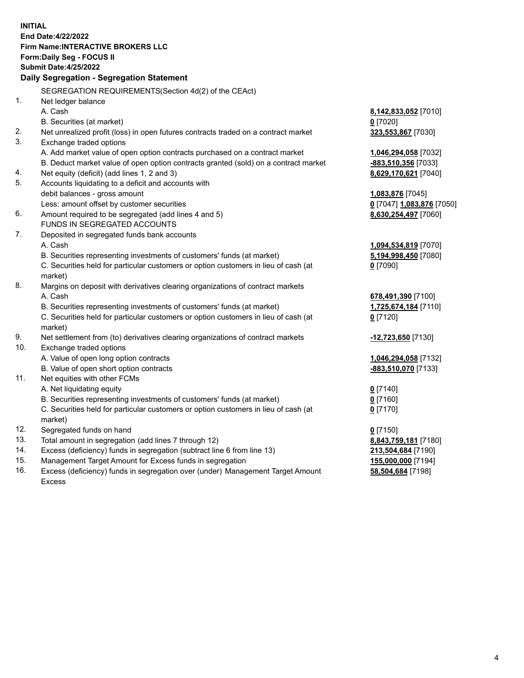**INITIAL End Date:4/22/2022 Firm Name:INTERACTIVE BROKERS LLC Form:Daily Seg - FOCUS II Submit Date:4/25/2022 Daily Segregation - Segregation Statement** SEGREGATION REQUIREMENTS(Section 4d(2) of the CEAct) 1. Net ledger balance A. Cash **8,142,833,052** [7010] B. Securities (at market) **0** [7020] 2. Net unrealized profit (loss) in open futures contracts traded on a contract market **323,553,867** [7030] 3. Exchange traded options A. Add market value of open option contracts purchased on a contract market **1,046,294,058** [7032] B. Deduct market value of open option contracts granted (sold) on a contract market **-883,510,356** [7033] 4. Net equity (deficit) (add lines 1, 2 and 3) **8,629,170,621** [7040] 5. Accounts liquidating to a deficit and accounts with debit balances - gross amount **1,083,876** [7045] Less: amount offset by customer securities **0** [7047] **1,083,876** [7050] 6. Amount required to be segregated (add lines 4 and 5) **8,630,254,497** [7060] FUNDS IN SEGREGATED ACCOUNTS 7. Deposited in segregated funds bank accounts A. Cash **1,094,534,819** [7070] B. Securities representing investments of customers' funds (at market) **5,194,998,450** [7080] C. Securities held for particular customers or option customers in lieu of cash (at market) **0** [7090] 8. Margins on deposit with derivatives clearing organizations of contract markets A. Cash **678,491,390** [7100] B. Securities representing investments of customers' funds (at market) **1,725,674,184** [7110] C. Securities held for particular customers or option customers in lieu of cash (at market) **0** [7120] 9. Net settlement from (to) derivatives clearing organizations of contract markets **-12,723,650** [7130] 10. Exchange traded options A. Value of open long option contracts **1,046,294,058** [7132] B. Value of open short option contracts **-883,510,070** [7133] 11. Net equities with other FCMs A. Net liquidating equity **0** [7140] B. Securities representing investments of customers' funds (at market) **0** [7160] C. Securities held for particular customers or option customers in lieu of cash (at market) **0** [7170] 12. Segregated funds on hand **0** [7150] 13. Total amount in segregation (add lines 7 through 12) **8,843,759,181** [7180] 14. Excess (deficiency) funds in segregation (subtract line 6 from line 13) **213,504,684** [7190] 15. Management Target Amount for Excess funds in segregation **155,000,000** [7194]

16. Excess (deficiency) funds in segregation over (under) Management Target Amount Excess

**58,504,684** [7198]